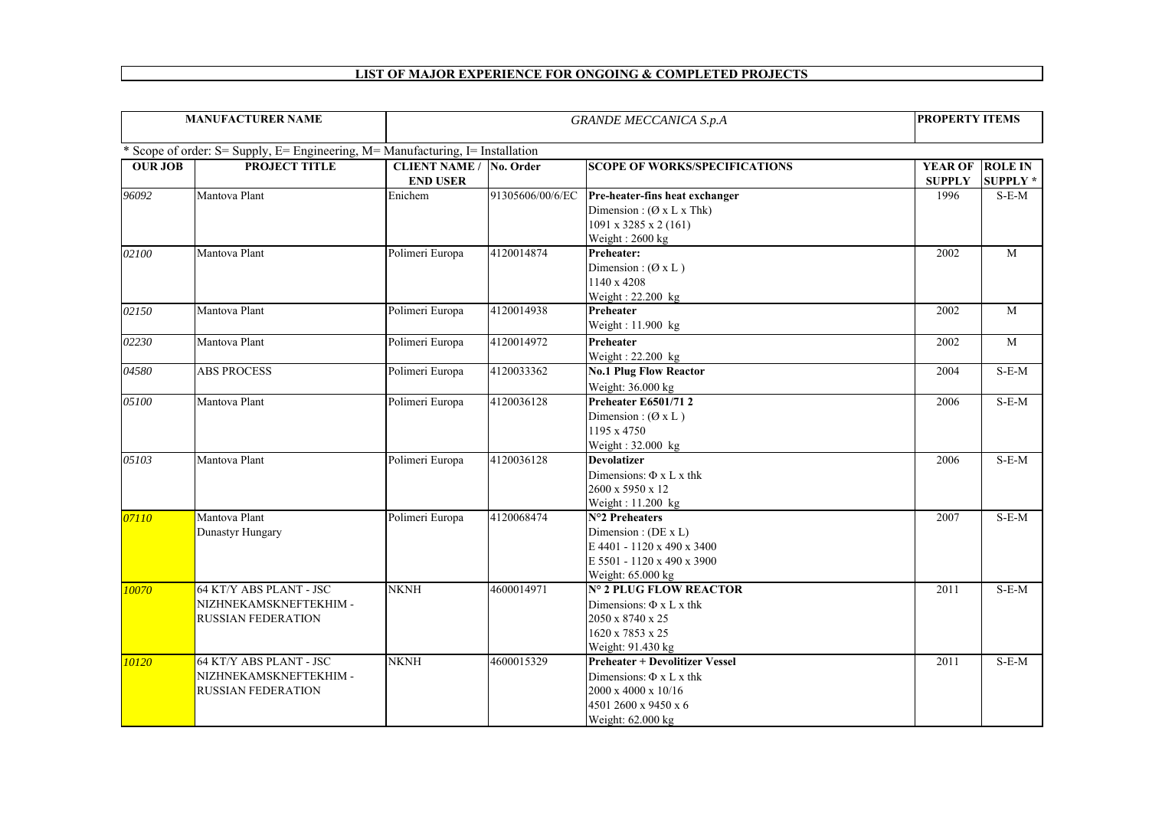## **LIST OF MAJOR EXPERIENCE FOR ONGOING & COMPLETED PROJECTS**

| <b>MANUFACTURER NAME</b>                                                       |                                                   |                                | <b>GRANDE MECCANICA S.p.A</b> |                                                                      |                       | <b>PROPERTY ITEMS</b> |  |  |  |  |
|--------------------------------------------------------------------------------|---------------------------------------------------|--------------------------------|-------------------------------|----------------------------------------------------------------------|-----------------------|-----------------------|--|--|--|--|
|                                                                                |                                                   |                                |                               |                                                                      |                       |                       |  |  |  |  |
| * Scope of order: S= Supply, E= Engineering, M= Manufacturing, I= Installation |                                                   |                                |                               |                                                                      |                       |                       |  |  |  |  |
| <b>OUR JOB</b>                                                                 | <b>PROJECT TITLE</b>                              | <b>CLIENT NAME / No. Order</b> |                               | <b>SCOPE OF WORKS/SPECIFICATIONS</b>                                 | <b>YEAR OF</b>        | <b>ROLE IN</b>        |  |  |  |  |
|                                                                                | Mantova Plant                                     | <b>END USER</b><br>Enichem     |                               |                                                                      | <b>SUPPLY</b><br>1996 | <b>SUPPLY*</b>        |  |  |  |  |
| 96092                                                                          |                                                   |                                | 91305606/00/6/EC              | Pre-heater-fins heat exchanger<br>Dimension: $(\emptyset x L x Thk)$ |                       | $S-E-M$               |  |  |  |  |
|                                                                                |                                                   |                                |                               | 1091 x 3285 x 2 (161)                                                |                       |                       |  |  |  |  |
|                                                                                |                                                   |                                |                               | Weight: 2600 kg                                                      |                       |                       |  |  |  |  |
| 02100                                                                          | Mantova Plant                                     | Polimeri Europa                | 4120014874                    | Preheater:                                                           | 2002                  | M                     |  |  |  |  |
|                                                                                |                                                   |                                |                               | Dimension: $(\emptyset x L)$                                         |                       |                       |  |  |  |  |
|                                                                                |                                                   |                                |                               | 1140 x 4208                                                          |                       |                       |  |  |  |  |
|                                                                                |                                                   |                                |                               | Weight: 22.200 kg                                                    |                       |                       |  |  |  |  |
| 02150                                                                          | Mantova Plant                                     | Polimeri Europa                | 4120014938                    | Preheater                                                            | 2002                  | $\mathbf M$           |  |  |  |  |
|                                                                                |                                                   |                                |                               | Weight: 11.900 kg                                                    |                       |                       |  |  |  |  |
| 02230                                                                          | Mantova Plant                                     | Polimeri Europa                | 4120014972                    | Preheater                                                            | 2002                  | M                     |  |  |  |  |
|                                                                                |                                                   |                                |                               | Weight: 22.200 kg                                                    |                       |                       |  |  |  |  |
| 04580                                                                          | <b>ABS PROCESS</b>                                | Polimeri Europa                | 4120033362                    | <b>No.1 Plug Flow Reactor</b>                                        | 2004                  | $S-E-M$               |  |  |  |  |
|                                                                                |                                                   |                                |                               | Weight: 36.000 kg                                                    |                       |                       |  |  |  |  |
| 05100                                                                          | Mantova Plant                                     | Polimeri Europa                | 4120036128                    | <b>Preheater E6501/712</b>                                           | 2006                  | $S-E-M$               |  |  |  |  |
|                                                                                |                                                   |                                |                               | Dimension: $(\emptyset x L)$                                         |                       |                       |  |  |  |  |
|                                                                                |                                                   |                                |                               | 1195 x 4750                                                          |                       |                       |  |  |  |  |
|                                                                                |                                                   |                                |                               | Weight: 32.000 kg                                                    |                       |                       |  |  |  |  |
| 05103                                                                          | Mantova Plant                                     | Polimeri Europa                | 4120036128                    | <b>Devolatizer</b>                                                   | 2006                  | $S-E-M$               |  |  |  |  |
|                                                                                |                                                   |                                |                               | Dimensions: $\Phi$ x L x thk                                         |                       |                       |  |  |  |  |
|                                                                                |                                                   |                                |                               | 2600 x 5950 x 12                                                     |                       |                       |  |  |  |  |
|                                                                                |                                                   |                                |                               | Weight: 11.200 kg                                                    |                       |                       |  |  |  |  |
| 07110                                                                          | Mantova Plant                                     | Polimeri Europa                | 4120068474                    | N°2 Preheaters                                                       | 2007                  | $S-E-M$               |  |  |  |  |
|                                                                                | Dunastyr Hungary                                  |                                |                               | Dimension : $(DE \times L)$                                          |                       |                       |  |  |  |  |
|                                                                                |                                                   |                                |                               | E 4401 - 1120 x 490 x 3400                                           |                       |                       |  |  |  |  |
|                                                                                |                                                   |                                |                               | E 5501 - 1120 x 490 x 3900                                           |                       |                       |  |  |  |  |
|                                                                                |                                                   | <b>NKNH</b>                    | 4600014971                    | Weight: 65.000 kg<br>N° 2 PLUG FLOW REACTOR                          |                       |                       |  |  |  |  |
| 10070                                                                          | 64 KT/Y ABS PLANT - JSC<br>NIZHNEKAMSKNEFTEKHIM - |                                |                               |                                                                      | 2011                  | $S-E-M$               |  |  |  |  |
|                                                                                | <b>RUSSIAN FEDERATION</b>                         |                                |                               | Dimensions: $\Phi$ x L x thk<br>2050 x 8740 x 25                     |                       |                       |  |  |  |  |
|                                                                                |                                                   |                                |                               | 1620 x 7853 x 25                                                     |                       |                       |  |  |  |  |
|                                                                                |                                                   |                                |                               | Weight: 91.430 kg                                                    |                       |                       |  |  |  |  |
| 10120                                                                          | 64 KT/Y ABS PLANT - JSC                           | <b>NKNH</b>                    | 4600015329                    | <b>Preheater + Devolitizer Vessel</b>                                | 2011                  | $S-E-M$               |  |  |  |  |
|                                                                                | NIZHNEKAMSKNEFTEKHIM -                            |                                |                               | Dimensions: $\Phi$ x L x thk                                         |                       |                       |  |  |  |  |
|                                                                                | <b>RUSSIAN FEDERATION</b>                         |                                |                               | 2000 x 4000 x 10/16                                                  |                       |                       |  |  |  |  |
|                                                                                |                                                   |                                |                               | 4501 2600 x 9450 x 6                                                 |                       |                       |  |  |  |  |
|                                                                                |                                                   |                                |                               | Weight: 62.000 kg                                                    |                       |                       |  |  |  |  |